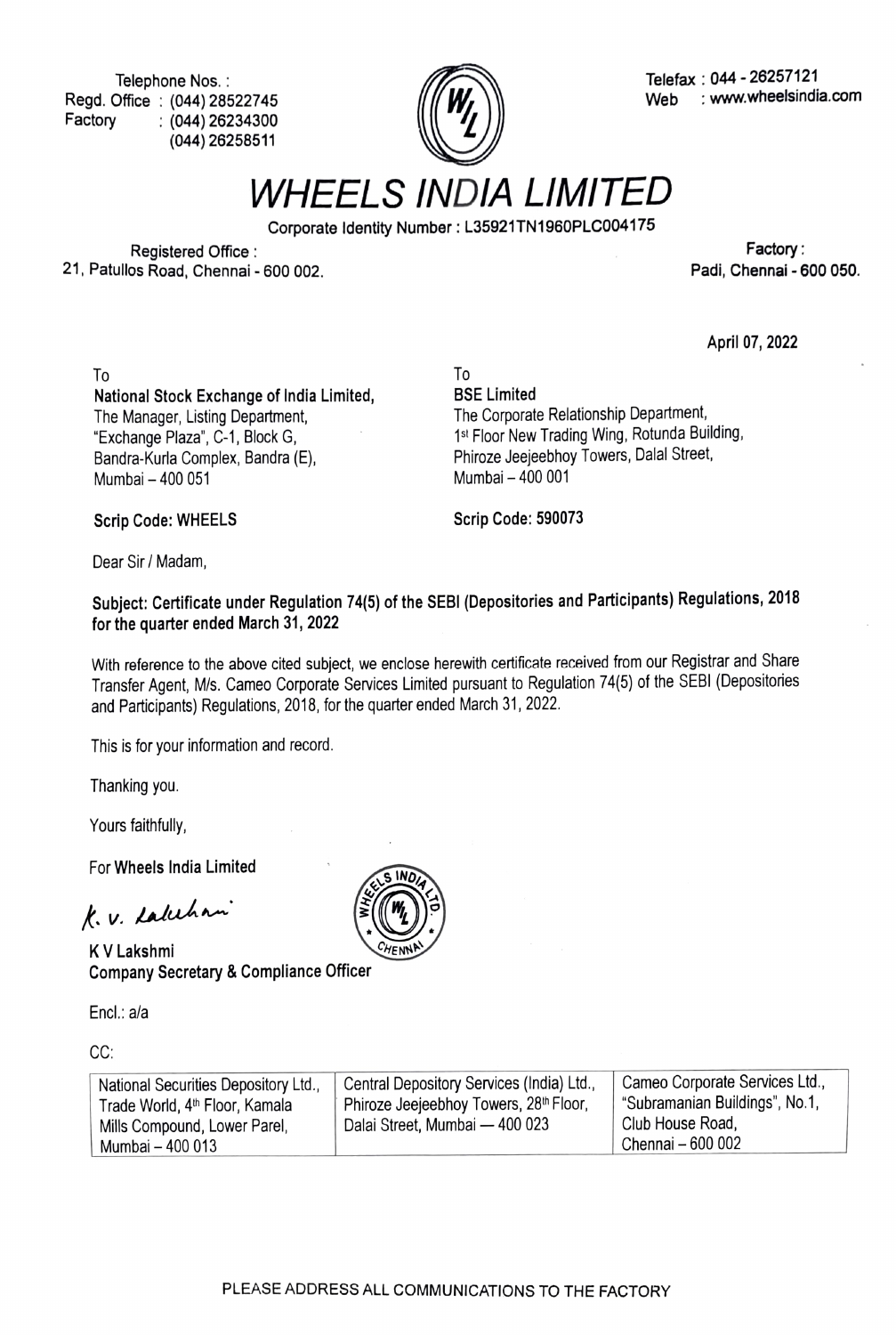Telephone Nos. Regd. Office: (044) 28522745 Factory :(044) 26234300 (044) 26258511



Telefax: 044-26257121 Web : www.wheelsindia.com

WHEELS INDIA LIMITED

Corporate ldentity Number: L35921TN1960PLCO04175

Registered Office 21, Pactory : Registered Office :<br>21, Patullos Road, Chennai - 600 002. Factory : Padi, Chennai - 600 050.

April 07, 2022

 $\overline{10}$   $\overline{10}$ National Stock Exchange of India Limited, BSE Limited The Manager, Listing Department, "Exchange Plaza", C-1, Block G, Bandra-Kurla Complex, Bandra (E), Mumbai-400 051

The Corporate Relationship Department, 1<sup>st</sup> Floor New Trading Wing, Rotunda Building, Phiroze Jeejeebhoy Towers, Dalal Street, Mumbai-400 001

Scrip Code: WHEELS Scrip Code: 590073

Dear Sir / Madam,

Subject: Certificate under Regulation 74(5) of the SEBI (Depositories and Participants) Regulations, 2018 for the quarter ended March 31, 2022

With reference to the above cited subject, we enclose herewith certificate received from our Registrar and Share Transfer Agent, Mis. Cameo Corporate Services Limited pursuant to Regulation 74(5) of the SEBI (Depositories and Participants) Regulations, 2018, for the quarter ended March 31, 2022.

This is for your information and record.

Thanking you.

Yours faithfully,

For Wheels India Limited

K. V. Lakehan

K V Lakshmi Company Secretary & Compliance Oficer

Encl.: a/a

CC:

| National Securities Depository Ltd.,<br>Trade World, 4 <sup>th</sup> Floor, Kamala<br>Mills Compound, Lower Parel,<br>' Mumbai – 400 013 | Central Depository Services (India) Ltd.,<br>Phiroze Jeejeebhoy Towers, 28 <sup>th</sup> Floor,<br>Dalai Street, Mumbai — 400 023 | Cameo Corporate Services Ltd.,<br>"Subramanian Buildings", No.1,<br>Club House Road,<br>Chennai - 600 002 |
|------------------------------------------------------------------------------------------------------------------------------------------|-----------------------------------------------------------------------------------------------------------------------------------|-----------------------------------------------------------------------------------------------------------|
|------------------------------------------------------------------------------------------------------------------------------------------|-----------------------------------------------------------------------------------------------------------------------------------|-----------------------------------------------------------------------------------------------------------|